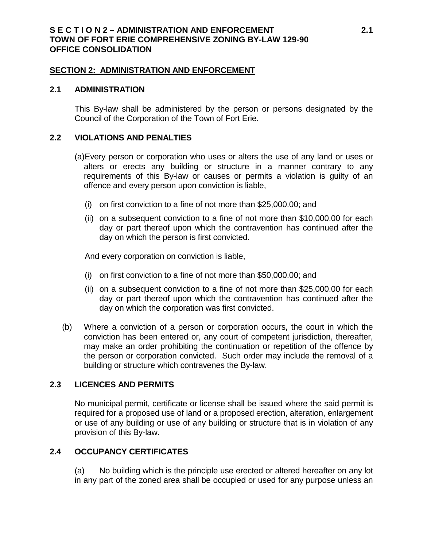#### **SECTION 2: ADMINISTRATION AND ENFORCEMENT**

#### **2.1 ADMINISTRATION**

This By-law shall be administered by the person or persons designated by the Council of the Corporation of the Town of Fort Erie.

### **2.2 VIOLATIONS AND PENALTIES**

- (a)Every person or corporation who uses or alters the use of any land or uses or alters or erects any building or structure in a manner contrary to any requirements of this By-law or causes or permits a violation is guilty of an offence and every person upon conviction is liable,
	- (i) on first conviction to a fine of not more than \$25,000.00; and
	- (ii) on a subsequent conviction to a fine of not more than \$10,000.00 for each day or part thereof upon which the contravention has continued after the day on which the person is first convicted.

And every corporation on conviction is liable,

- (i) on first conviction to a fine of not more than \$50,000.00; and
- (ii) on a subsequent conviction to a fine of not more than \$25,000.00 for each day or part thereof upon which the contravention has continued after the day on which the corporation was first convicted.
- (b) Where a conviction of a person or corporation occurs, the court in which the conviction has been entered or, any court of competent jurisdiction, thereafter, may make an order prohibiting the continuation or repetition of the offence by the person or corporation convicted. Such order may include the removal of a building or structure which contravenes the By-law.

# **2.3 LICENCES AND PERMITS**

No municipal permit, certificate or license shall be issued where the said permit is required for a proposed use of land or a proposed erection, alteration, enlargement or use of any building or use of any building or structure that is in violation of any provision of this By-law.

## **2.4 OCCUPANCY CERTIFICATES**

(a) No building which is the principle use erected or altered hereafter on any lot in any part of the zoned area shall be occupied or used for any purpose unless an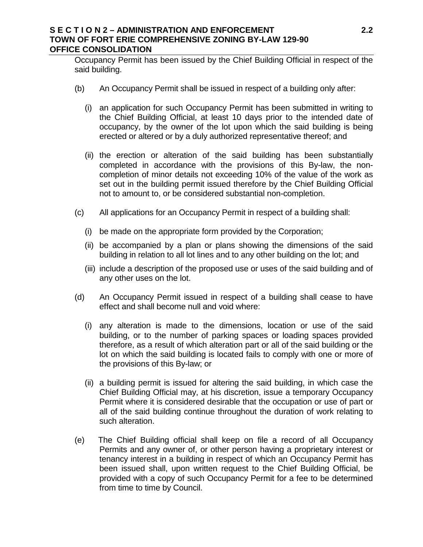### **S E C T I O N 2 – ADMINISTRATION AND ENFORCEMENT 2.2 TOWN OF FORT ERIE COMPREHENSIVE ZONING BY-LAW 129-90 OFFICE CONSOLIDATION**

Occupancy Permit has been issued by the Chief Building Official in respect of the said building.

- (b) An Occupancy Permit shall be issued in respect of a building only after:
	- (i) an application for such Occupancy Permit has been submitted in writing to the Chief Building Official, at least 10 days prior to the intended date of occupancy, by the owner of the lot upon which the said building is being erected or altered or by a duly authorized representative thereof; and
	- (ii) the erection or alteration of the said building has been substantially completed in accordance with the provisions of this By-law, the noncompletion of minor details not exceeding 10% of the value of the work as set out in the building permit issued therefore by the Chief Building Official not to amount to, or be considered substantial non-completion.
- (c) All applications for an Occupancy Permit in respect of a building shall:
	- (i) be made on the appropriate form provided by the Corporation;
	- (ii) be accompanied by a plan or plans showing the dimensions of the said building in relation to all lot lines and to any other building on the lot; and
	- (iii) include a description of the proposed use or uses of the said building and of any other uses on the lot.
- (d) An Occupancy Permit issued in respect of a building shall cease to have effect and shall become null and void where:
	- (i) any alteration is made to the dimensions, location or use of the said building, or to the number of parking spaces or loading spaces provided therefore, as a result of which alteration part or all of the said building or the lot on which the said building is located fails to comply with one or more of the provisions of this By-law; or
	- (ii) a building permit is issued for altering the said building, in which case the Chief Building Official may, at his discretion, issue a temporary Occupancy Permit where it is considered desirable that the occupation or use of part or all of the said building continue throughout the duration of work relating to such alteration.
- (e) The Chief Building official shall keep on file a record of all Occupancy Permits and any owner of, or other person having a proprietary interest or tenancy interest in a building in respect of which an Occupancy Permit has been issued shall, upon written request to the Chief Building Official, be provided with a copy of such Occupancy Permit for a fee to be determined from time to time by Council.